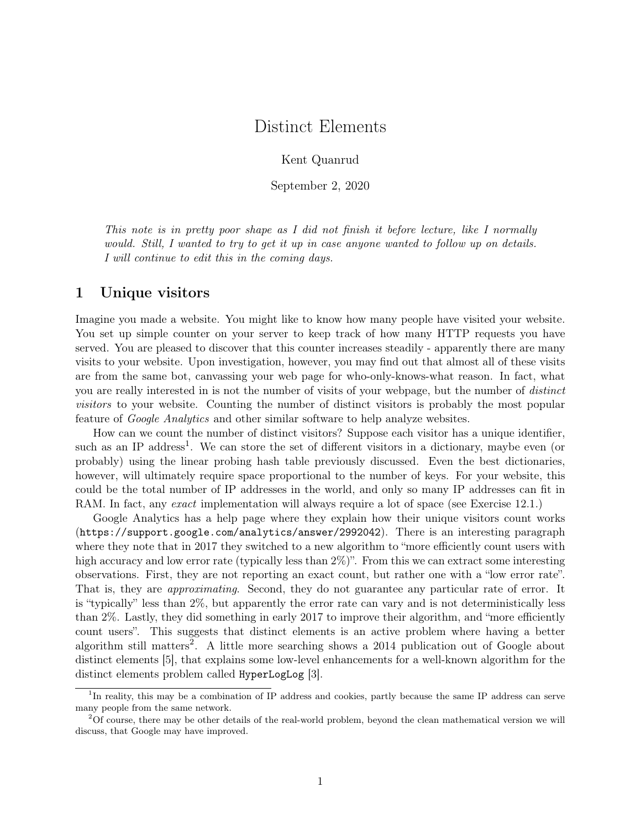# Distinct Elements

Kent Quanrud

September 2, 2020

<span id="page-0-0"></span>This note is in pretty poor shape as I did not finish it before lecture, like I normally would. Still, I wanted to try to get it up in case anyone wanted to follow up on details. I will continue to edit this in the coming days.

# 1 Unique visitors

Imagine you made a website. You might like to know how many people have visited your website. You set up simple counter on your server to keep track of how many HTTP requests you have served. You are pleased to discover that this counter increases steadily - apparently there are many visits to your website. Upon investigation, however, you may find out that almost all of these visits are from the same bot, canvassing your web page for who-only-knows-what reason. In fact, what you are really interested in is not the number of visits of your webpage, but the number of distinct visitors to your website. Counting the number of distinct visitors is probably the most popular feature of Google Analytics and other similar software to help analyze websites.

How can we count the number of distinct visitors? Suppose each visitor has a unique identifier, such as an IP address<sup>1</sup>. We can store the set of different visitors in a dictionary, maybe even (or probably) using the linear probing hash table previously discussed. Even the best dictionaries, however, will ultimately require space proportional to the number of keys. For your website, this could be the total number of IP addresses in the world, and only so many IP addresses can fit in RAM. In fact, any *exact* implementation will always require a lot of space (see [Exercise 12.1.](#page-11-0))

Google Analytics has a help page where they explain how their unique visitors count works (<https://support.google.com/analytics/answer/2992042>). There is an interesting paragraph where they note that in 2017 they switched to a new algorithm to "more efficiently count users with high accuracy and low error rate (typically less than  $2\%)$ ". From this we can extract some interesting observations. First, they are not reporting an exact count, but rather one with a "low error rate". That is, they are approximating. Second, they do not guarantee any particular rate of error. It is "typically" less than 2%, but apparently the error rate can vary and is not deterministically less than 2%. Lastly, they did something in early 2017 to improve their algorithm, and "more efficiently count users". This suggests that distinct elements is an active problem where having a better algorithm still matters<sup>2</sup>. A little more searching shows a  $2014$  publication out of Google about distinct elements [5], that explains some low-level enhancements for a well-known algorithm for the distinct elements problem called HyperLogLog [3].

<sup>&</sup>lt;sup>1</sup>In reality, this may be a combination of IP address and cookies, partly because the same IP address can serve many people from the same network.

<sup>&</sup>lt;sup>2</sup>Of course, there may be other details of the real-world problem, beyond the clean mathematical version we will discuss, that Google may have improved.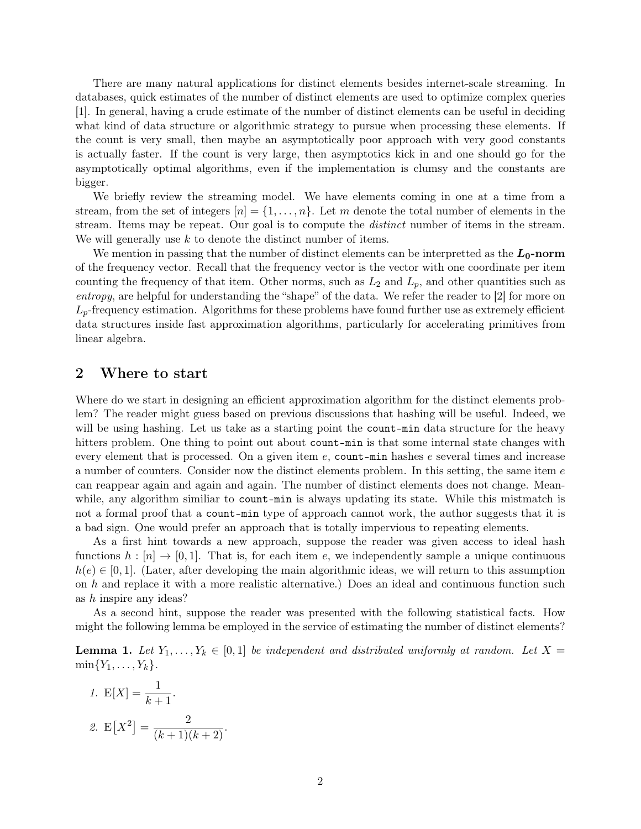There are many natural applications for distinct elements besides internet-scale streaming. In databases, quick estimates of the number of distinct elements are used to optimize complex queries [\[1\]](#page-0-0). In general, having a crude estimate of the number of distinct elements can be useful in deciding what kind of data structure or algorithmic strategy to pursue when processing these elements. If the count is very small, then maybe an asymptotically poor approach with very good constants is actually faster. If the count is very large, then asymptotics kick in and one should go for the asymptotically optimal algorithms, even if the implementation is clumsy and the constants are bigger.

We briefly review the streaming model. We have elements coming in one at a time from a stream, from the set of integers  $[n] = \{1, \ldots, n\}$ . Let m denote the total number of elements in the stream. Items may be repeat. Our goal is to compute the *distinct* number of items in the stream. We will generally use  $k$  to denote the distinct number of items.

We mention in passing that the number of distinct elements can be interpretted as the  $L_0$ -norm of the frequency vector. Recall that the frequency vector is the vector with one coordinate per item counting the frequency of that item. Other norms, such as  $L_2$  and  $L_p$ , and other quantities such as entropy, are helpful for understanding the "shape" of the data. We refer the reader to [\[2\]](#page-0-0) for more on  $L_p$ -frequency estimation. Algorithms for these problems have found further use as extremely efficient data structures inside fast approximation algorithms, particularly for accelerating primitives from linear algebra.

# 2 Where to start

Where do we start in designing an efficient approximation algorithm for the distinct elements problem? The reader might guess based on previous discussions that hashing will be useful. Indeed, we will be using hashing. Let us take as a starting point the **count-min** data structure for the heavy hitters problem. One thing to point out about count-min is that some internal state changes with every element that is processed. On a given item e, count-min hashes e several times and increase a number of counters. Consider now the distinct elements problem. In this setting, the same item  $e$ can reappear again and again and again. The number of distinct elements does not change. Meanwhile, any algorithm similiar to count-min is always updating its state. While this mistmatch is not a formal proof that a count-min type of approach cannot work, the author suggests that it is a bad sign. One would prefer an approach that is totally impervious to repeating elements.

As a first hint towards a new approach, suppose the reader was given access to ideal hash functions  $h : [n] \to [0, 1]$ . That is, for each item e, we independently sample a unique continuous  $h(e) \in [0, 1]$ . (Later, after developing the main algorithmic ideas, we will return to this assumption on h and replace it with a more realistic alternative.) Does an ideal and continuous function such as h inspire any ideas?

As a second hint, suppose the reader was presented with the following statistical facts. How might the following lemma be employed in the service of estimating the number of distinct elements?

<span id="page-1-0"></span>**Lemma 1.** Let  $Y_1, \ldots, Y_k \in [0,1]$  be independent and distributed uniformly at random. Let  $X =$  $\min\{Y_1, \ldots, Y_k\}.$ 

1. 
$$
E[X] = \frac{1}{k+1}
$$
.  
2.  $E[X^2] = \frac{2}{(k+1)(k+2)}$ .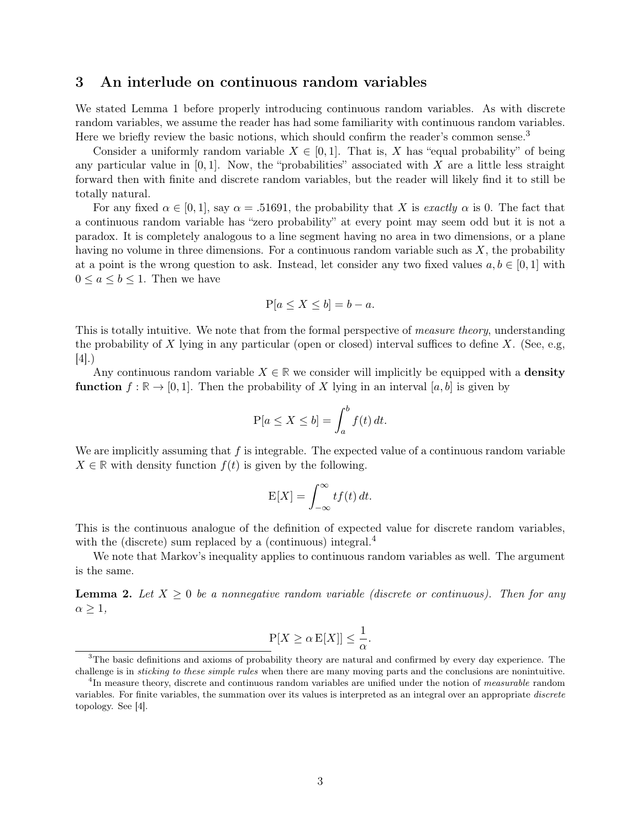# 3 An interlude on continuous random variables

We stated [Lemma 1](#page-1-0) before properly introducing continuous random variables. As with discrete random variables, we assume the reader has had some familiarity with continuous random variables. Here we briefly review the basic notions, which should confirm the reader's common sense.<sup>[3](#page-0-0)</sup>

Consider a uniformly random variable  $X \in [0, 1]$ . That is, X has "equal probability" of being any particular value in  $[0, 1]$ . Now, the "probabilities" associated with X are a little less straight forward then with finite and discrete random variables, but the reader will likely find it to still be totally natural.

For any fixed  $\alpha \in [0, 1]$ , say  $\alpha = .51691$ , the probability that X is exactly  $\alpha$  is 0. The fact that a continuous random variable has "zero probability" at every point may seem odd but it is not a paradox. It is completely analogous to a line segment having no area in two dimensions, or a plane having no volume in three dimensions. For a continuous random variable such as  $X$ , the probability at a point is the wrong question to ask. Instead, let consider any two fixed values  $a, b \in [0, 1]$  with  $0 \leq a \leq b \leq 1$ . Then we have

$$
P[a \le X \le b] = b - a.
$$

This is totally intuitive. We note that from the formal perspective of *measure theory*, understanding the probability of X lying in any particular (open or closed) interval suffices to define X. (See, e.g, [\[4\]](#page-0-0).)

Any continuous random variable  $X \in \mathbb{R}$  we consider will implicitly be equipped with a **density function**  $f : \mathbb{R} \to [0, 1]$ . Then the probability of X lying in an interval [a, b] is given by

$$
P[a \le X \le b] = \int_a^b f(t) dt.
$$

We are implicitly assuming that  $f$  is integrable. The expected value of a continuous random variable  $X \in \mathbb{R}$  with density function  $f(t)$  is given by the following.

$$
E[X] = \int_{-\infty}^{\infty} tf(t) dt.
$$

This is the continuous analogue of the definition of expected value for discrete random variables, with the (discrete) sum replaced by a (continuous) integral. $4$ 

We note that Markov's inequality applies to continuous random variables as well. The argument is the same.

**Lemma 2.** Let  $X \geq 0$  be a nonnegative random variable (discrete or continuous). Then for any  $\alpha \geq 1$ ,

$$
\mathbb{P}[X \ge \alpha \mathbb{E}[X]] \le \frac{1}{\alpha}.
$$

<sup>&</sup>lt;sup>3</sup>The basic definitions and axioms of probability theory are natural and confirmed by every day experience. The challenge is in sticking to these simple rules when there are many moving parts and the conclusions are nonintuitive.

<sup>&</sup>lt;sup>4</sup>In measure theory, discrete and continuous random variables are unified under the notion of *measurable* random variables. For finite variables, the summation over its values is interpreted as an integral over an appropriate discrete topology. See [\[4\]](#page-0-0).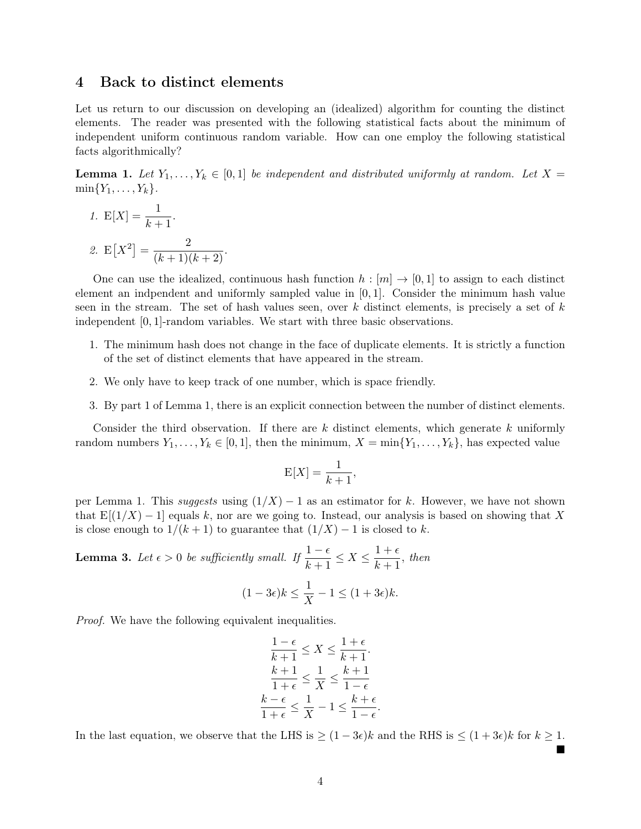# 4 Back to distinct elements

Let us return to our discussion on developing an (idealized) algorithm for counting the distinct elements. The reader was presented with the following statistical facts about the minimum of independent uniform continuous random variable. How can one employ the following statistical facts algorithmically?

**Lemma 1.** Let  $Y_1, \ldots, Y_k \in [0,1]$  be independent and distributed uniformly at random. Let  $X =$  $\min\{Y_1, \ldots, Y_k\}.$ 

1.  $E[X] = \frac{1}{k+1}$ .

2. 
$$
E[X^2] = \frac{2}{(k+1)(k+2)}
$$
.

One can use the idealized, continuous hash function  $h : [m] \to [0,1]$  to assign to each distinct element an indpendent and uniformly sampled value in [0, 1]. Consider the minimum hash value seen in the stream. The set of hash values seen, over  $k$  distinct elements, is precisely a set of  $k$ independent [0, 1]-random variables. We start with three basic observations.

- 1. The minimum hash does not change in the face of duplicate elements. It is strictly a function of the set of distinct elements that have appeared in the stream.
- 2. We only have to keep track of one number, which is space friendly.
- 3. By part 1 of [Lemma 1,](#page-1-0) there is an explicit connection between the number of distinct elements.

Consider the third observation. If there are  $k$  distinct elements, which generate  $k$  uniformly random numbers  $Y_1, \ldots, Y_k \in [0, 1]$ , then the minimum,  $X = \min\{Y_1, \ldots, Y_k\}$ , has expected value

$$
\mathcal{E}[X] = \frac{1}{k+1},
$$

per [Lemma 1.](#page-1-0) This suggests using  $(1/X) - 1$  as an estimator for k. However, we have not shown that  $E[(1/X) - 1]$  equals k, nor are we going to. Instead, our analysis is based on showing that X is close enough to  $1/(k+1)$  to guarantee that  $(1/X) - 1$  is closed to k.

**Lemma 3.** Let  $\epsilon > 0$  be sufficiently small. If  $\frac{1-\epsilon}{k+1} \leq X \leq \frac{1+\epsilon}{k+1}$  $\frac{1}{k+1}$ , then  $(1-3\epsilon)k \leq \frac{1}{N}$  $\frac{1}{X} - 1 \leq (1 + 3\epsilon)k.$ 

Proof. We have the following equivalent inequalities.

$$
\frac{1-\epsilon}{k+1} \le X \le \frac{1+\epsilon}{k+1}.
$$

$$
\frac{k+1}{1+\epsilon} \le \frac{1}{X} \le \frac{k+1}{1-\epsilon}
$$

$$
\frac{k-\epsilon}{1+\epsilon} \le \frac{1}{X} - 1 \le \frac{k+\epsilon}{1-\epsilon}.
$$

In the last equation, we observe that the LHS is  $\geq (1-3\epsilon)k$  and the RHS is  $\leq (1+3\epsilon)k$  for  $k \geq 1$ .

■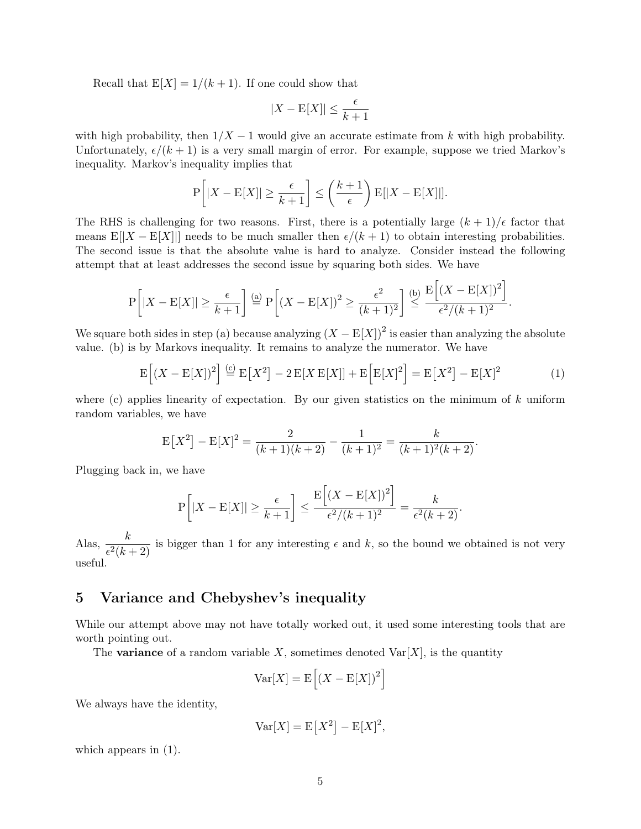Recall that  $E[X] = 1/(k+1)$ . If one could show that

$$
|X - \mathbf{E}[X]| \le \frac{\epsilon}{k+1}
$$

with high probability, then  $1/X - 1$  would give an accurate estimate from k with high probability. Unfortunately,  $\epsilon/(k + 1)$  is a very small margin of error. For example, suppose we tried Markov's inequality. Markov's inequality implies that

$$
P\left[|X - E[X]| \ge \frac{\epsilon}{k+1}\right] \le \left(\frac{k+1}{\epsilon}\right)E[|X - E[X]|].
$$

The RHS is challenging for two reasons. First, there is a potentially large  $(k+1)/\epsilon$  factor that means  $E[|X - E[X]|]$  needs to be much smaller then  $\epsilon/(k+1)$  to obtain interesting probabilities. The second issue is that the absolute value is hard to analyze. Consider instead the following attempt that at least addresses the second issue by squaring both sides. We have

$$
P\left[|X - E[X]| \ge \frac{\epsilon}{k+1}\right] \stackrel{\text{(a)}}{=} P\left[(X - E[X])^2 \ge \frac{\epsilon^2}{(k+1)^2}\right] \stackrel{\text{(b)}}{=} \frac{E\left[(X - E[X])^2\right]}{\epsilon^2/(k+1)^2}.
$$

We square both sides in step (a) because analyzing  $(X - E[X])^2$  is easier than analyzing the absolute value. (b) is by Markovs inequality. It remains to analyze the numerator. We have

<span id="page-4-0"></span>
$$
\mathcal{E}\left[\left(X - \mathcal{E}[X]\right)^2\right] \stackrel{\text{(c)}}{=} \mathcal{E}\left[X^2\right] - 2\mathcal{E}[X\mathcal{E}[X]] + \mathcal{E}\left[\mathcal{E}[X]^2\right] = \mathcal{E}\left[X^2\right] - \mathcal{E}[X]^2 \tag{1}
$$

where (c) applies linearity of expectation. By our given statistics on the minimum of  $k$  uniform random variables, we have

$$
E[X2] - E[X]2 = \frac{2}{(k+1)(k+2)} - \frac{1}{(k+1)^{2}} = \frac{k}{(k+1)^{2}(k+2)}.
$$

Plugging back in, we have

$$
P\left[|X - E[X]| \ge \frac{\epsilon}{k+1}\right] \le \frac{E\left[(X - E[X])^2\right]}{\epsilon^2/(k+1)^2} = \frac{k}{\epsilon^2(k+2)}.
$$

Alas,  $\frac{k}{\epsilon^2(k+2)}$  is bigger than 1 for any interesting  $\epsilon$  and k, so the bound we obtained is not very useful.

# 5 Variance and Chebyshev's inequality

While our attempt above may not have totally worked out, it used some interesting tools that are worth pointing out.

The **variance** of a random variable X, sometimes denoted  $\text{Var}[X]$ , is the quantity

$$
Var[X] = E\left[ (X - E[X])^2 \right]
$$

We always have the identity,

$$
Var[X] = E[X^2] - E[X]^2,
$$

which appears in  $(1)$ .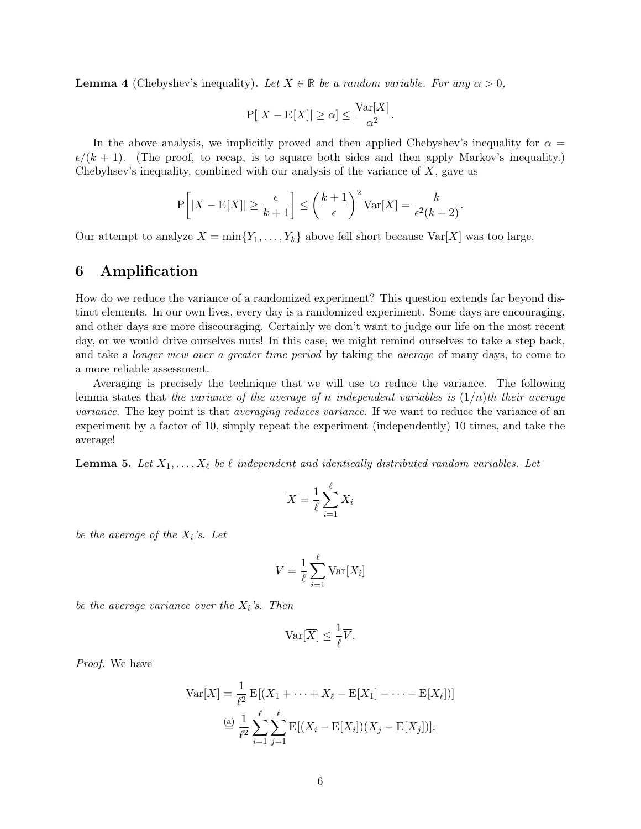**Lemma 4** (Chebyshev's inequality). Let  $X \in \mathbb{R}$  be a random variable. For any  $\alpha > 0$ ,

$$
P[|X - E[X]| \ge \alpha] \le \frac{\text{Var}[X]}{\alpha^2}
$$

.

In the above analysis, we implicitly proved and then applied Chebyshev's inequality for  $\alpha =$  $\epsilon/(k+1)$ . (The proof, to recap, is to square both sides and then apply Markov's inequality.) Chebyhsev's inequality, combined with our analysis of the variance of  $X$ , gave us

$$
P\left[|X - E[X]| \ge \frac{\epsilon}{k+1}\right] \le \left(\frac{k+1}{\epsilon}\right)^2 Var[X] = \frac{k}{\epsilon^2(k+2)}.
$$

Our attempt to analyze  $X = \min\{Y_1, \ldots, Y_k\}$  above fell short because  $\text{Var}[X]$  was too large.

# 6 Amplification

How do we reduce the variance of a randomized experiment? This question extends far beyond distinct elements. In our own lives, every day is a randomized experiment. Some days are encouraging, and other days are more discouraging. Certainly we don't want to judge our life on the most recent day, or we would drive ourselves nuts! In this case, we might remind ourselves to take a step back, and take a *longer view over a greater time period* by taking the *average* of many days, to come to a more reliable assessment.

Averaging is precisely the technique that we will use to reduce the variance. The following lemma states that the variance of the average of n independent variables is  $(1/n)$ th their average variance. The key point is that *averaging reduces variance*. If we want to reduce the variance of an experiment by a factor of 10, simply repeat the experiment (independently) 10 times, and take the average!

**Lemma 5.** Let  $X_1, \ldots, X_\ell$  be  $\ell$  independent and identically distributed random variables. Let

$$
\overline{X} = \frac{1}{\ell} \sum_{i=1}^{\ell} X_i
$$

be the average of the  $X_i$ 's. Let

$$
\overline{V} = \frac{1}{\ell} \sum_{i=1}^{\ell} \text{Var}[X_i]
$$

be the average variance over the  $X_i$ 's. Then

$$
\text{Var}[\overline{X}] \le \frac{1}{\ell} \overline{V}.
$$

Proof. We have

$$
\text{Var}[\overline{X}] = \frac{1}{\ell^2} \mathbb{E}[(X_1 + \dots + X_\ell - \mathbb{E}[X_1] - \dots - \mathbb{E}[X_\ell])]
$$

$$
\stackrel{\text{(a)}}{=} \frac{1}{\ell^2} \sum_{i=1}^{\ell} \sum_{j=1}^{\ell} \mathbb{E}[(X_i - \mathbb{E}[X_i])(X_j - \mathbb{E}[X_j])].
$$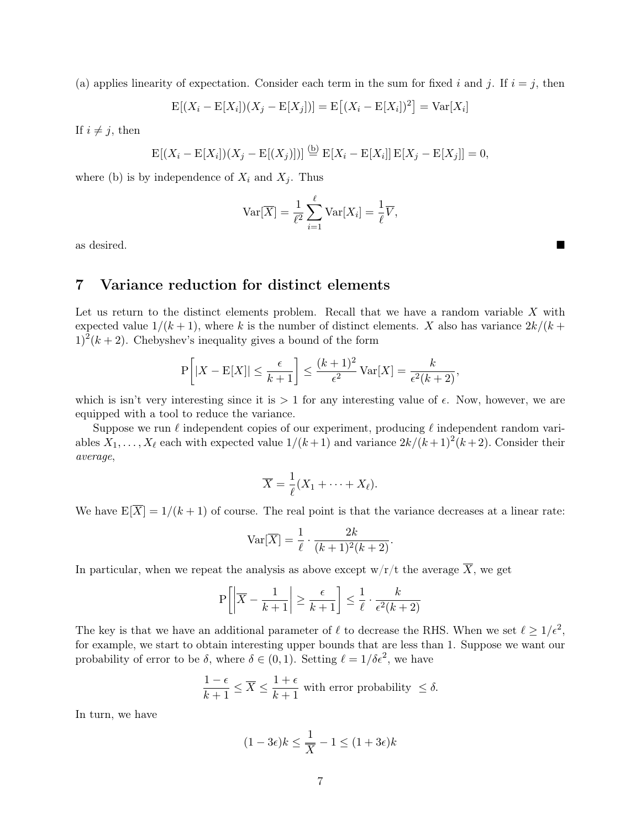(a) applies linearity of expectation. Consider each term in the sum for fixed i and j. If  $i = j$ , then

$$
E[(X_i - E[X_i])(X_j - E[X_j])] = E[(X_i - E[X_i])^2] = Var[X_i]
$$

If  $i \neq j$ , then

$$
E[(X_i - E[X_i])(X_j - E[(X_j)])] \stackrel{(b)}{=} E[X_i - E[X_i]] E[X_j - E[X_j]] = 0,
$$

where (b) is by independence of  $X_i$  and  $X_j$ . Thus

$$
\text{Var}[\overline{X}] = \frac{1}{\ell^2} \sum_{i=1}^{\ell} \text{Var}[X_i] = \frac{1}{\ell} \overline{V},
$$

as desired.

# 7 Variance reduction for distinct elements

Let us return to the distinct elements problem. Recall that we have a random variable X with expected value  $1/(k+1)$ , where k is the number of distinct elements. X also has variance  $2k/(k+1)$  $1)^{2}(k+2)$ . Chebyshev's inequality gives a bound of the form

$$
P\left[|X - E[X]| \le \frac{\epsilon}{k+1}\right] \le \frac{(k+1)^2}{\epsilon^2} \operatorname{Var}[X] = \frac{k}{\epsilon^2(k+2)},
$$

which is isn't very interesting since it is  $> 1$  for any interesting value of  $\epsilon$ . Now, however, we are equipped with a tool to reduce the variance.

Suppose we run  $\ell$  independent copies of our experiment, producing  $\ell$  independent random variables  $X_1, \ldots, X_\ell$  each with expected value  $1/(k+1)$  and variance  $2k/(k+1)^2(k+2)$ . Consider their average,

$$
\overline{X} = \frac{1}{\ell}(X_1 + \cdots + X_\ell).
$$

We have  $E[\overline{X}] = 1/(k+1)$  of course. The real point is that the variance decreases at a linear rate:

$$
\text{Var}[\overline{X}] = \frac{1}{\ell} \cdot \frac{2k}{(k+1)^2(k+2)}.
$$

In particular, when we repeat the analysis as above except  $w/r/t$  the average  $\overline{X}$ , we get

$$
\mathbf{P}\left[\left|\overline{X} - \frac{1}{k+1}\right| \ge \frac{\epsilon}{k+1}\right] \le \frac{1}{\ell} \cdot \frac{k}{\epsilon^2(k+2)}
$$

The key is that we have an additional parameter of  $\ell$  to decrease the RHS. When we set  $\ell \geq 1/\epsilon^2$ , for example, we start to obtain interesting upper bounds that are less than 1. Suppose we want our probability of error to be  $\delta$ , where  $\delta \in (0,1)$ . Setting  $\ell = 1/\delta \epsilon^2$ , we have

$$
\frac{1-\epsilon}{k+1} \le \overline{X} \le \frac{1+\epsilon}{k+1}
$$
 with error probability  $\le \delta$ .

In turn, we have

$$
(1 - 3\epsilon)k \le \frac{1}{\overline{X}} - 1 \le (1 + 3\epsilon)k
$$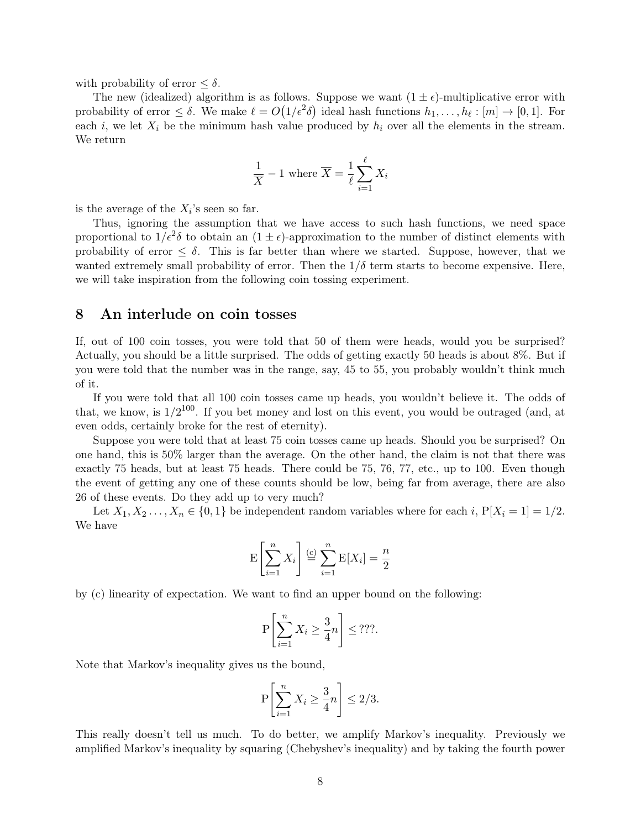with probability of error  $\leq \delta$ .

The new (idealized) algorithm is as follows. Suppose we want  $(1 \pm \epsilon)$ -multiplicative error with probability of error  $\leq \delta$ . We make  $\ell = O(1/\epsilon^2\delta)$  ideal hash functions  $h_1, \ldots, h_\ell : [m] \to [0, 1]$ . For each i, we let  $X_i$  be the minimum hash value produced by  $h_i$  over all the elements in the stream. We return

$$
\frac{1}{\overline{X}} - 1 \text{ where } \overline{X} = \frac{1}{\ell} \sum_{i=1}^{\ell} X_i
$$

is the average of the  $X_i$ 's seen so far.

Thus, ignoring the assumption that we have access to such hash functions, we need space proportional to  $1/\epsilon^2 \delta$  to obtain an  $(1 \pm \epsilon)$ -approximation to the number of distinct elements with probability of error  $\leq \delta$ . This is far better than where we started. Suppose, however, that we wanted extremely small probability of error. Then the  $1/\delta$  term starts to become expensive. Here, we will take inspiration from the following coin tossing experiment.

#### 8 An interlude on coin tosses

If, out of 100 coin tosses, you were told that 50 of them were heads, would you be surprised? Actually, you should be a little surprised. The odds of getting exactly 50 heads is about 8%. But if you were told that the number was in the range, say, 45 to 55, you probably wouldn't think much of it.

If you were told that all 100 coin tosses came up heads, you wouldn't believe it. The odds of that, we know, is  $1/2^{100}$ . If you bet money and lost on this event, you would be outraged (and, at even odds, certainly broke for the rest of eternity).

Suppose you were told that at least 75 coin tosses came up heads. Should you be surprised? On one hand, this is 50% larger than the average. On the other hand, the claim is not that there was exactly 75 heads, but at least 75 heads. There could be 75, 76, 77, etc., up to 100. Even though the event of getting any one of these counts should be low, being far from average, there are also 26 of these events. Do they add up to very much?

Let  $X_1, X_2, \ldots, X_n \in \{0,1\}$  be independent random variables where for each i,  $P[X_i = 1] = 1/2$ . We have

$$
\mathbf{E}\left[\sum_{i=1}^{n} X_i\right] \stackrel{\text{(c)}}{=} \sum_{i=1}^{n} \mathbf{E}[X_i] = \frac{n}{2}
$$

by (c) linearity of expectation. We want to find an upper bound on the following:

$$
\mathbf{P}\left[\sum_{i=1}^{n} X_i \ge \frac{3}{4}n\right] \le ???.
$$

Note that Markov's inequality gives us the bound,

$$
\mathbf{P}\left[\sum_{i=1}^{n} X_i \ge \frac{3}{4}n\right] \le 2/3.
$$

This really doesn't tell us much. To do better, we amplify Markov's inequality. Previously we amplified Markov's inequality by squaring (Chebyshev's inequality) and by taking the fourth power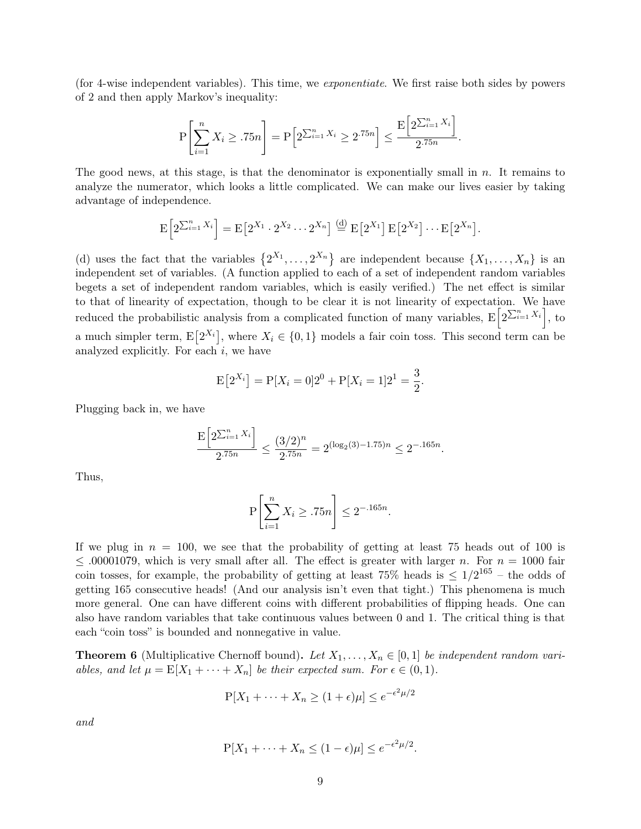(for 4-wise independent variables). This time, we exponentiate. We first raise both sides by powers of 2 and then apply Markov's inequality:

$$
P\left[\sum_{i=1}^{n} X_i \ge 0.75n\right] = P\left[2^{\sum_{i=1}^{n} X_i} \ge 2^{0.75n}\right] \le \frac{E\left[2^{\sum_{i=1}^{n} X_i}\right]}{2^{0.75n}}.
$$

The good news, at this stage, is that the denominator is exponentially small in  $n$ . It remains to analyze the numerator, which looks a little complicated. We can make our lives easier by taking advantage of independence.

$$
\mathrm{E}\left[2^{\sum_{i=1}^{n}X_i}\right]=\mathrm{E}\left[2^{X_1}\cdot 2^{X_2}\cdots 2^{X_n}\right]\stackrel{\text{(d)}}{=} \mathrm{E}\left[2^{X_1}\right]\mathrm{E}\left[2^{X_2}\right]\cdots \mathrm{E}\left[2^{X_n}\right].
$$

(d) uses the fact that the variables  $\{2^{X_1}, \ldots, 2^{X_n}\}\$  are independent because  $\{X_1, \ldots, X_n\}\$ is an independent set of variables. (A function applied to each of a set of independent random variables begets a set of independent random variables, which is easily verified.) The net effect is similar to that of linearity of expectation, though to be clear it is not linearity of expectation. We have reduced the probabilistic analysis from a complicated function of many variables,  $E\left[2^{\sum_{i=1}^{n} X_i}\right]$ , to a much simpler term,  $E[2^{X_i}]$ , where  $X_i \in \{0,1\}$  models a fair coin toss. This second term can be analyzed explicitly. For each  $i$ , we have

$$
E[2^{X_i}] = P[X_i = 0]2^0 + P[X_i = 1]2^1 = \frac{3}{2}.
$$

Plugging back in, we have

$$
\frac{\mathbf{E}\left[2^{\sum_{i=1}^{n}X_i}\right]}{2^{.75n}} \le \frac{(3/2)^n}{2^{.75n}} = 2^{(\log_2(3) - 1.75)n} \le 2^{-.165n}
$$

.

Thus,

$$
\mathbf{P}\left[\sum_{i=1}^{n} X_i \ge 0.75n\right] \le 2^{-0.165n}.
$$

If we plug in  $n = 100$ , we see that the probability of getting at least 75 heads out of 100 is  $\leq$  00001079, which is very small after all. The effect is greater with larger n. For  $n = 1000$  fair coin tosses, for example, the probability of getting at least 75% heads is  $\leq 1/2^{165}$  – the odds of getting 165 consecutive heads! (And our analysis isn't even that tight.) This phenomena is much more general. One can have different coins with different probabilities of flipping heads. One can also have random variables that take continuous values between 0 and 1. The critical thing is that each "coin toss" is bounded and nonnegative in value.

<span id="page-8-0"></span>**Theorem 6** (Multiplicative Chernoff bound). Let  $X_1, \ldots, X_n \in [0,1]$  be independent random variables, and let  $\mu = \mathbb{E}[X_1 + \cdots + X_n]$  be their expected sum. For  $\epsilon \in (0,1)$ .

$$
P[X_1 + \dots + X_n \ge (1 + \epsilon)\mu] \le e^{-\epsilon^2 \mu/2}
$$

and

$$
P[X_1 + \cdots + X_n \le (1 - \epsilon)\mu] \le e^{-\epsilon^2 \mu/2}.
$$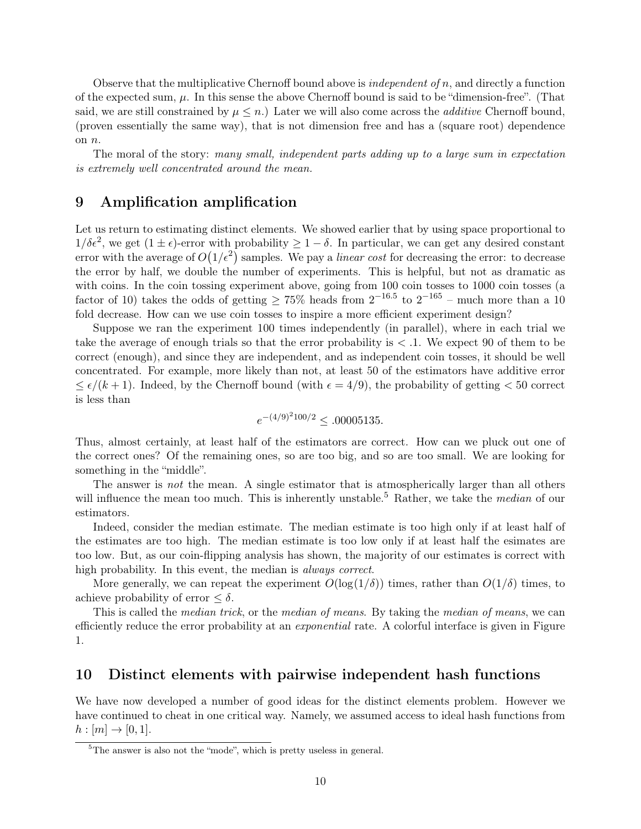Observe that the multiplicative Chernoff bound above is *independent of n*, and directly a function of the expected sum,  $\mu$ . In this sense the above Chernoff bound is said to be "dimension-free". (That said, we are still constrained by  $\mu \leq n$ .) Later we will also come across the *additive* Chernoff bound, (proven essentially the same way), that is not dimension free and has a (square root) dependence on n.

The moral of the story: many small, independent parts adding up to a large sum in expectation is extremely well concentrated around the mean.

# 9 Amplification amplification

Let us return to estimating distinct elements. We showed earlier that by using space proportional to  $1/\delta\epsilon^2$ , we get  $(1 \pm \epsilon)$ -error with probability  $\geq 1-\delta$ . In particular, we can get any desired constant error with the average of  $O(1/\epsilon^2)$  samples. We pay a *linear cost* for decreasing the error: to decrease the error by half, we double the number of experiments. This is helpful, but not as dramatic as with coins. In the coin tossing experiment above, going from 100 coin tosses to 1000 coin tosses (a factor of 10) takes the odds of getting  $\geq 75\%$  heads from  $2^{-16.5}$  to  $2^{-165}$  – much more than a 10 fold decrease. How can we use coin tosses to inspire a more efficient experiment design?

Suppose we ran the experiment 100 times independently (in parallel), where in each trial we take the average of enough trials so that the error probability is  $\lt$  1. We expect 90 of them to be correct (enough), and since they are independent, and as independent coin tosses, it should be well concentrated. For example, more likely than not, at least 50 of the estimators have additive error  $\leq \epsilon/(k+1)$ . Indeed, by the Chernoff bound (with  $\epsilon = 4/9$ ), the probability of getting  $< 50$  correct is less than

$$
e^{-(4/9)^2 100/2} \leq .00005135.
$$

Thus, almost certainly, at least half of the estimators are correct. How can we pluck out one of the correct ones? Of the remaining ones, so are too big, and so are too small. We are looking for something in the "middle".

The answer is not the mean. A single estimator that is atmospherically larger than all others will influence the mean too much. This is inherently unstable.<sup>[5](#page-0-0)</sup> Rather, we take the *median* of our estimators.

Indeed, consider the median estimate. The median estimate is too high only if at least half of the estimates are too high. The median estimate is too low only if at least half the esimates are too low. But, as our coin-flipping analysis has shown, the majority of our estimates is correct with high probability. In this event, the median is always correct.

More generally, we can repeat the experiment  $O(\log(1/\delta))$  times, rather than  $O(1/\delta)$  times, to achieve probability of error  $\leq \delta$ .

This is called the *median trick*, or the *median of means*. By taking the *median of means*, we can efficiently reduce the error probability at an exponential rate. A colorful interface is given in [Figure](#page-10-0) [1.](#page-10-0)

## 10 Distinct elements with pairwise independent hash functions

We have now developed a number of good ideas for the distinct elements problem. However we have continued to cheat in one critical way. Namely, we assumed access to ideal hash functions from  $h : [m] \to [0, 1].$ 

<sup>&</sup>lt;sup>5</sup>The answer is also not the "mode", which is pretty useless in general.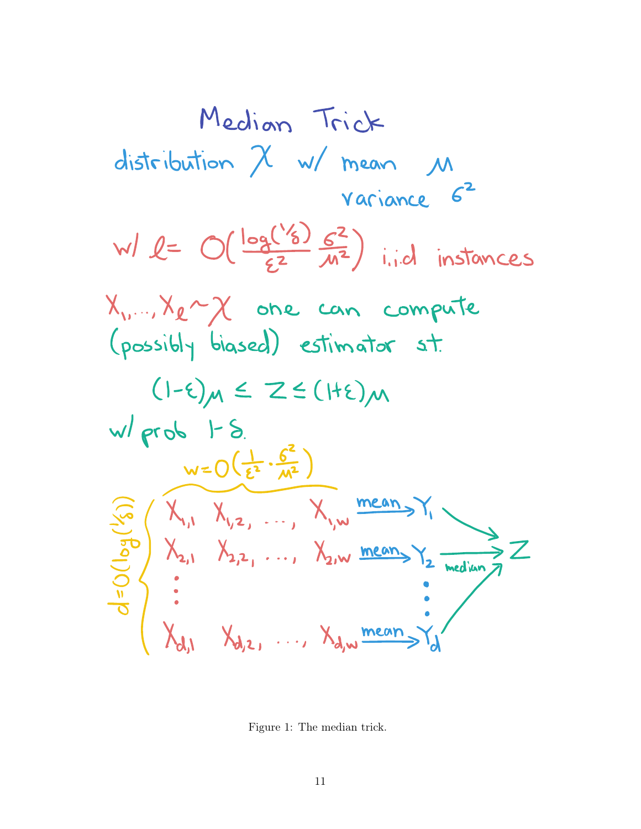Median Trick distribution 
$$
\chi
$$
 w/mean M  
\nvariance  $G^2$ 

\nwl  $l = O(\frac{\log(1/6)}{\epsilon^2} \frac{G^2}{M^2})$  i.i.d instances

\nX<sub>u</sub>..., X<sub>l</sub>~  $\chi$  one can compute  
\n(possibly biased) estimator at:

\n(1- $\epsilon$ ) $M \leq Z \leq (1+\epsilon)M$ 

\nwl prob 1-8.

\nw=O( $\frac{1}{\epsilon^2} \cdot \frac{G^2}{M^2}$ )

\n...  $\chi_{v} = O(\frac{1}{\epsilon^2} \cdot \frac{G^2}{M^2})$ 

\n...  $\chi_{v} = O(\frac{1}{\epsilon^2} \cdot \frac{G^2}{M^2})$ 

\n...  $\chi_{v} = O(\frac{1}{\epsilon^2} \cdot \frac{G^2}{M^2})$ 

\n...  $\chi_{v} = O(\frac{1}{\epsilon^2} \cdot \frac{G^2}{M^2})$ 

\n...  $\chi_{v} = \frac{\text{mean}}{M}$ 

\n...  $\chi_{v} = \frac{\text{mean}}{M}$ 

<span id="page-10-0"></span>Figure 1: The median trick.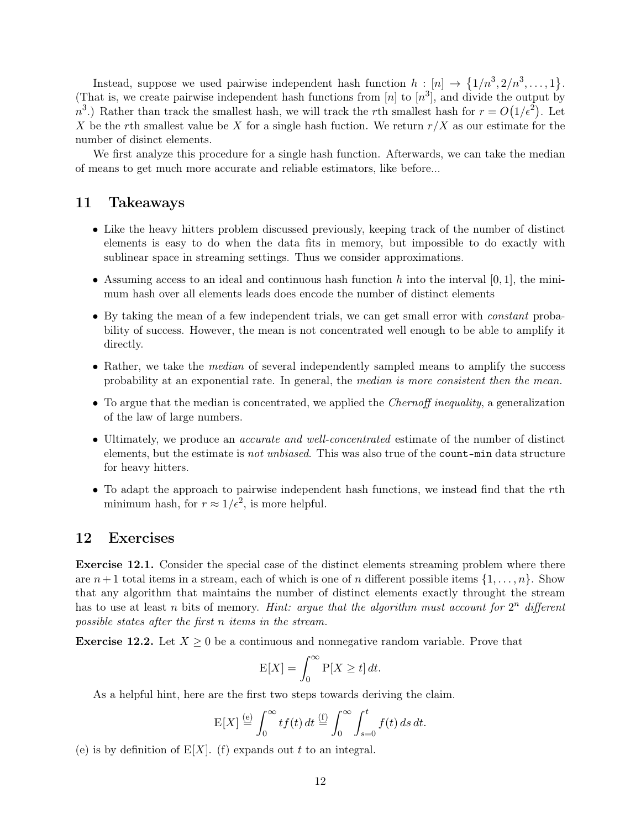Instead, suppose we used pairwise independent hash function  $h: [n] \rightarrow \{1/n^3, 2/n^3, \ldots, 1\}.$ (That is, we create pairwise independent hash functions from  $[n]$  to  $[n^3]$ , and divide the output by  $n^3$ .) Rather than track the smallest hash, we will track the rth smallest hash for  $r = O(1/\epsilon^2)$ . Let X be the rth smallest value be X for a single hash fuction. We return  $r/X$  as our estimate for the number of disinct elements.

We first analyze this procedure for a single hash function. Afterwards, we can take the median of means to get much more accurate and reliable estimators, like before...

#### 11 Takeaways

- Like the heavy hitters problem discussed previously, keeping track of the number of distinct elements is easy to do when the data fits in memory, but impossible to do exactly with sublinear space in streaming settings. Thus we consider approximations.
- Assuming access to an ideal and continuous hash function h into the interval  $[0, 1]$ , the minimum hash over all elements leads does encode the number of distinct elements
- By taking the mean of a few independent trials, we can get small error with *constant* probability of success. However, the mean is not concentrated well enough to be able to amplify it directly.
- Rather, we take the *median* of several independently sampled means to amplify the success probability at an exponential rate. In general, the median is more consistent then the mean.
- To argue that the median is concentrated, we applied the *Chernoff inequality*, a generalization of the law of large numbers.
- Ultimately, we produce an *accurate and well-concentrated* estimate of the number of distinct elements, but the estimate is not unbiased. This was also true of the count-min data structure for heavy hitters.
- To adapt the approach to pairwise independent hash functions, we instead find that the rth minimum hash, for  $r \approx 1/\epsilon^2$ , is more helpful.

# 12 Exercises

<span id="page-11-0"></span>Exercise 12.1. Consider the special case of the distinct elements streaming problem where there are  $n+1$  total items in a stream, each of which is one of n different possible items  $\{1,\ldots,n\}$ . Show that any algorithm that maintains the number of distinct elements exactly throught the stream has to use at least n bits of memory. Hint: argue that the algorithm must account for  $2^n$  different possible states after the first n items in the stream.

**Exercise 12.2.** Let  $X \geq 0$  be a continuous and nonnegative random variable. Prove that

$$
E[X] = \int_0^\infty P[X \ge t] dt.
$$

As a helpful hint, here are the first two steps towards deriving the claim.

$$
\mathcal{E}[X] \stackrel{\text{(e)}}{=} \int_0^\infty t f(t) \, dt \stackrel{\text{(f)}}{=} \int_0^\infty \int_{s=0}^t f(t) \, ds \, dt.
$$

(e) is by definition of  $E[X]$ . (f) expands out t to an integral.